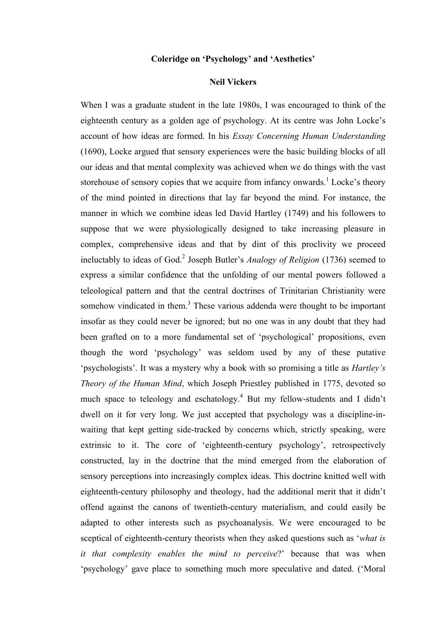## **Coleridge on 'Psychology' and 'Aesthetics'**

## **Neil Vickers**

When I was a graduate student in the late 1980s, I was encouraged to think of the eighteenth century as a golden age of psychology. At its centre was John Locke's account of how ideas are formed. In his *Essay Concerning Human Understanding*  (1690), Locke argued that sensory experiences were the basic building blocks of all our ideas and that mental complexity was achieved when we do things with the vast storehouse of sensory copies that we acquire from infancy onwards.<sup>1</sup> Locke's theory of the mind pointed in directions that lay far beyond the mind. For instance, the manner in which we combine ideas led David Hartley (1749) and his followers to suppose that we were physiologically designed to take increasing pleasure in complex, comprehensive ideas and that by dint of this proclivity we proceed ineluctably to ideas of God.<sup>2</sup> Joseph Butler's *Analogy of Religion* (1736) seemed to express a similar confidence that the unfolding of our mental powers followed a teleological pattern and that the central doctrines of Trinitarian Christianity were somehow vindicated in them. $3$  These various addenda were thought to be important insofar as they could never be ignored; but no one was in any doubt that they had been grafted on to a more fundamental set of 'psychological' propositions, even though the word 'psychology' was seldom used by any of these putative 'psychologists'. It was a mystery why a book with so promising a title as *Hartley's Theory of the Human Mind*, which Joseph Priestley published in 1775, devoted so much space to teleology and eschatology.<sup>4</sup> But my fellow-students and I didn't dwell on it for very long. We just accepted that psychology was a discipline-inwaiting that kept getting side-tracked by concerns which, strictly speaking, were extrinsic to it. The core of 'eighteenth-century psychology', retrospectively constructed, lay in the doctrine that the mind emerged from the elaboration of sensory perceptions into increasingly complex ideas. This doctrine knitted well with eighteenth-century philosophy and theology, had the additional merit that it didn't offend against the canons of twentieth-century materialism, and could easily be adapted to other interests such as psychoanalysis. We were encouraged to be sceptical of eighteenth-century theorists when they asked questions such as '*what is it that complexity enables the mind to perceive*?' because that was when 'psychology' gave place to something much more speculative and dated. ('Moral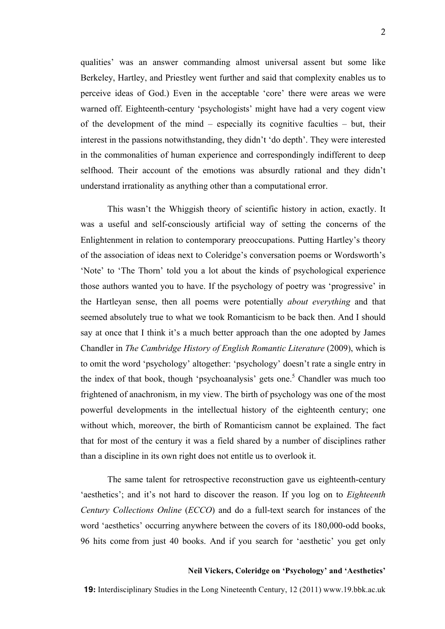qualities' was an answer commanding almost universal assent but some like Berkeley, Hartley, and Priestley went further and said that complexity enables us to perceive ideas of God.) Even in the acceptable 'core' there were areas we were warned off. Eighteenth-century 'psychologists' might have had a very cogent view of the development of the mind – especially its cognitive faculties – but, their interest in the passions notwithstanding, they didn't 'do depth'. They were interested in the commonalities of human experience and correspondingly indifferent to deep selfhood. Their account of the emotions was absurdly rational and they didn't understand irrationality as anything other than a computational error.

This wasn't the Whiggish theory of scientific history in action, exactly. It was a useful and self-consciously artificial way of setting the concerns of the Enlightenment in relation to contemporary preoccupations. Putting Hartley's theory of the association of ideas next to Coleridge's conversation poems or Wordsworth's 'Note' to 'The Thorn' told you a lot about the kinds of psychological experience those authors wanted you to have. If the psychology of poetry was 'progressive' in the Hartleyan sense, then all poems were potentially *about everything* and that seemed absolutely true to what we took Romanticism to be back then. And I should say at once that I think it's a much better approach than the one adopted by James Chandler in *The Cambridge History of English Romantic Literature* (2009), which is to omit the word 'psychology' altogether: 'psychology' doesn't rate a single entry in the index of that book, though 'psychoanalysis' gets one.<sup>5</sup> Chandler was much too frightened of anachronism, in my view. The birth of psychology was one of the most powerful developments in the intellectual history of the eighteenth century; one without which, moreover, the birth of Romanticism cannot be explained. The fact that for most of the century it was a field shared by a number of disciplines rather than a discipline in its own right does not entitle us to overlook it.

The same talent for retrospective reconstruction gave us eighteenth-century 'aesthetics'; and it's not hard to discover the reason. If you log on to *Eighteenth Century Collections Online* (*ECCO*) and do a full-text search for instances of the word 'aesthetics' occurring anywhere between the covers of its 180,000-odd books, 96 hits come from just 40 books. And if you search for 'aesthetic' you get only

## **Neil Vickers, Coleridge on 'Psychology' and 'Aesthetics'**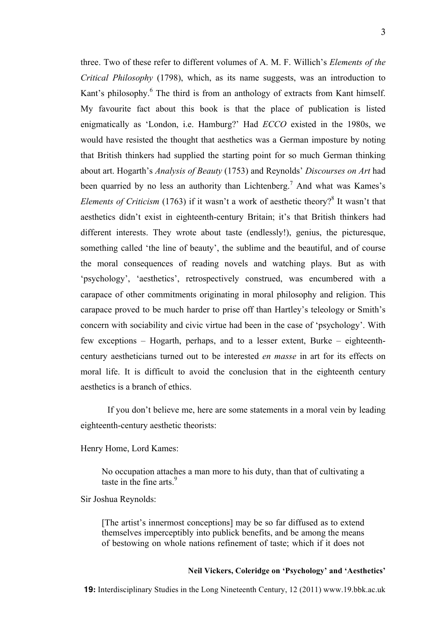three. Two of these refer to different volumes of A. M. F. Willich's *Elements of the Critical Philosophy* (1798), which, as its name suggests, was an introduction to Kant's philosophy.<sup>6</sup> The third is from an anthology of extracts from Kant himself. My favourite fact about this book is that the place of publication is listed

enigmatically as 'London, i.e. Hamburg?' Had *ECCO* existed in the 1980s, we would have resisted the thought that aesthetics was a German imposture by noting that British thinkers had supplied the starting point for so much German thinking about art. Hogarth's *Analysis of Beauty* (1753) and Reynolds' *Discourses on Art* had been quarried by no less an authority than Lichtenberg.<sup>7</sup> And what was Kames's *Elements of Criticism* (1763) if it wasn't a work of aesthetic theory?<sup>8</sup> It wasn't that aesthetics didn't exist in eighteenth-century Britain; it's that British thinkers had different interests. They wrote about taste (endlessly!), genius, the picturesque, something called 'the line of beauty', the sublime and the beautiful, and of course the moral consequences of reading novels and watching plays. But as with 'psychology', 'aesthetics', retrospectively construed, was encumbered with a carapace of other commitments originating in moral philosophy and religion. This carapace proved to be much harder to prise off than Hartley's teleology or Smith's concern with sociability and civic virtue had been in the case of 'psychology'. With few exceptions – Hogarth, perhaps, and to a lesser extent, Burke – eighteenthcentury aestheticians turned out to be interested *en masse* in art for its effects on moral life. It is difficult to avoid the conclusion that in the eighteenth century aesthetics is a branch of ethics.

If you don't believe me, here are some statements in a moral vein by leading eighteenth-century aesthetic theorists:

Henry Home, Lord Kames:

No occupation attaches a man more to his duty, than that of cultivating a taste in the fine arts  $9$ 

Sir Joshua Reynolds:

[The artist's innermost conceptions] may be so far diffused as to extend themselves imperceptibly into publick benefits, and be among the means of bestowing on whole nations refinement of taste; which if it does not

# **Neil Vickers, Coleridge on 'Psychology' and 'Aesthetics'**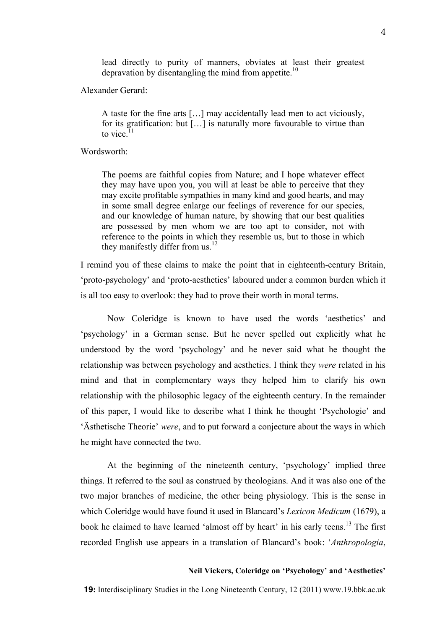lead directly to purity of manners, obviates at least their greatest depravation by disentangling the mind from appetite.<sup>10</sup>

## Alexander Gerard:

A taste for the fine arts […] may accidentally lead men to act viciously, for its gratification: but […] is naturally more favourable to virtue than to vice. $11$ 

# Wordsworth:

The poems are faithful copies from Nature; and I hope whatever effect they may have upon you, you will at least be able to perceive that they may excite profitable sympathies in many kind and good hearts, and may in some small degree enlarge our feelings of reverence for our species, and our knowledge of human nature, by showing that our best qualities are possessed by men whom we are too apt to consider, not with reference to the points in which they resemble us, but to those in which they manifestly differ from us.<sup>12</sup>

I remind you of these claims to make the point that in eighteenth-century Britain, 'proto-psychology' and 'proto-aesthetics' laboured under a common burden which it is all too easy to overlook: they had to prove their worth in moral terms.

Now Coleridge is known to have used the words 'aesthetics' and 'psychology' in a German sense. But he never spelled out explicitly what he understood by the word 'psychology' and he never said what he thought the relationship was between psychology and aesthetics. I think they *were* related in his mind and that in complementary ways they helped him to clarify his own relationship with the philosophic legacy of the eighteenth century. In the remainder of this paper, I would like to describe what I think he thought 'Psychologie' and 'Ästhetische Theorie' *were*, and to put forward a conjecture about the ways in which he might have connected the two.

At the beginning of the nineteenth century, 'psychology' implied three things. It referred to the soul as construed by theologians. And it was also one of the two major branches of medicine, the other being physiology. This is the sense in which Coleridge would have found it used in Blancard's *Lexicon Medicum* (1679), a book he claimed to have learned 'almost off by heart' in his early teens.<sup>13</sup> The first recorded English use appears in a translation of Blancard's book: '*Anthropologia*,

## **Neil Vickers, Coleridge on 'Psychology' and 'Aesthetics'**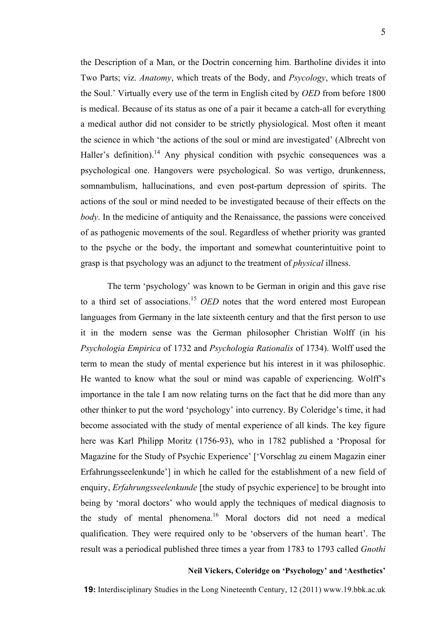the Description of a Man, or the Doctrin concerning him. Bartholine divides it into Two Parts; viz. *Anatomy*, which treats of the Body, and *Psycology*, which treats of the Soul.' Virtually every use of the term in English cited by *OED* from before 1800 is medical. Because of its status as one of a pair it became a catch-all for everything a medical author did not consider to be strictly physiological. Most often it meant the science in which 'the actions of the soul or mind are investigated' (Albrecht von Haller's definition).<sup>14</sup> Any physical condition with psychic consequences was a psychological one. Hangovers were psychological. So was vertigo, drunkenness, somnambulism, hallucinations, and even post-partum depression of spirits. The actions of the soul or mind needed to be investigated because of their effects on the *body*. In the medicine of antiquity and the Renaissance, the passions were conceived of as pathogenic movements of the soul. Regardless of whether priority was granted to the psyche or the body, the important and somewhat counterintuitive point to grasp is that psychology was an adjunct to the treatment of *physical* illness.

The term 'psychology' was known to be German in origin and this gave rise to a third set of associations.<sup>15</sup> *OED* notes that the word entered most European languages from Germany in the late sixteenth century and that the first person to use it in the modern sense was the German philosopher Christian Wolff (in his *Psychologia Empirica* of 1732 and *Psychologia Rationalis* of 1734). Wolff used the term to mean the study of mental experience but his interest in it was philosophic. He wanted to know what the soul or mind was capable of experiencing. Wolff's importance in the tale I am now relating turns on the fact that he did more than any other thinker to put the word 'psychology' into currency. By Coleridge's time, it had become associated with the study of mental experience of all kinds. The key figure here was Karl Philipp Moritz (1756-93), who in 1782 published a 'Proposal for Magazine for the Study of Psychic Experience' ['Vorschlag zu einem Magazin einer Erfahrungsseelenkunde'] in which he called for the establishment of a new field of enquiry, *Erfahrungsseelenkunde* [the study of psychic experience] to be brought into being by 'moral doctors' who would apply the techniques of medical diagnosis to the study of mental phenomena.<sup>16</sup> Moral doctors did not need a medical qualification. They were required only to be 'observers of the human heart'. The result was a periodical published three times a year from 1783 to 1793 called *Gnothi*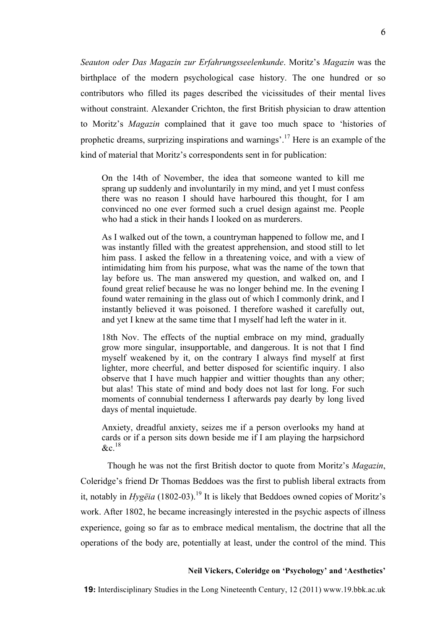*Seauton oder Das Magazin zur Erfahrungsseelenkunde*. Moritz's *Magazin* was the birthplace of the modern psychological case history. The one hundred or so contributors who filled its pages described the vicissitudes of their mental lives without constraint. Alexander Crichton, the first British physician to draw attention to Moritz's *Magazin* complained that it gave too much space to 'histories of prophetic dreams, surprizing inspirations and warnings'.17 Here is an example of the kind of material that Moritz's correspondents sent in for publication:

On the 14th of November, the idea that someone wanted to kill me sprang up suddenly and involuntarily in my mind, and yet I must confess there was no reason I should have harboured this thought, for I am convinced no one ever formed such a cruel design against me. People who had a stick in their hands I looked on as murderers.

As I walked out of the town, a countryman happened to follow me, and I was instantly filled with the greatest apprehension, and stood still to let him pass. I asked the fellow in a threatening voice, and with a view of intimidating him from his purpose, what was the name of the town that lay before us. The man answered my question, and walked on, and I found great relief because he was no longer behind me. In the evening I found water remaining in the glass out of which I commonly drink, and I instantly believed it was poisoned. I therefore washed it carefully out, and yet I knew at the same time that I myself had left the water in it.

18th Nov. The effects of the nuptial embrace on my mind, gradually grow more singular, insupportable, and dangerous. It is not that I find myself weakened by it, on the contrary I always find myself at first lighter, more cheerful, and better disposed for scientific inquiry. I also observe that I have much happier and wittier thoughts than any other; but alas! This state of mind and body does not last for long. For such moments of connubial tenderness I afterwards pay dearly by long lived days of mental inquietude.

Anxiety, dreadful anxiety, seizes me if a person overlooks my hand at cards or if a person sits down beside me if I am playing the harpsichord  $\&c^{18}$ 

Though he was not the first British doctor to quote from Moritz's *Magazin*, Coleridge's friend Dr Thomas Beddoes was the first to publish liberal extracts from it, notably in *Hygëia* (1802-03).<sup>19</sup> It is likely that Beddoes owned copies of Moritz's work. After 1802, he became increasingly interested in the psychic aspects of illness experience, going so far as to embrace medical mentalism, the doctrine that all the operations of the body are, potentially at least, under the control of the mind. This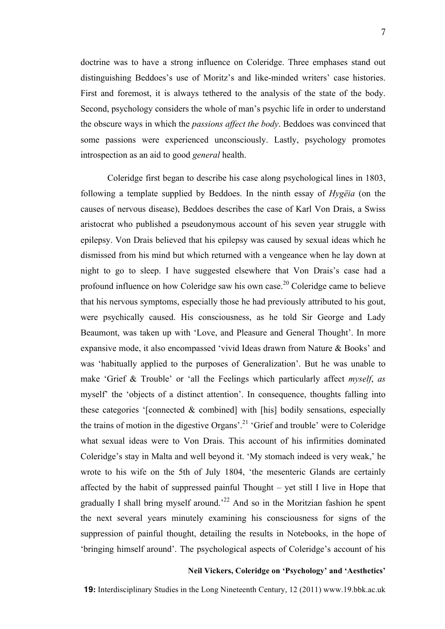doctrine was to have a strong influence on Coleridge. Three emphases stand out distinguishing Beddoes's use of Moritz's and like-minded writers' case histories. First and foremost, it is always tethered to the analysis of the state of the body. Second, psychology considers the whole of man's psychic life in order to understand the obscure ways in which the *passions affect the body*. Beddoes was convinced that some passions were experienced unconsciously. Lastly, psychology promotes introspection as an aid to good *general* health.

Coleridge first began to describe his case along psychological lines in 1803, following a template supplied by Beddoes. In the ninth essay of *Hygëia* (on the causes of nervous disease), Beddoes describes the case of Karl Von Drais, a Swiss aristocrat who published a pseudonymous account of his seven year struggle with epilepsy. Von Drais believed that his epilepsy was caused by sexual ideas which he dismissed from his mind but which returned with a vengeance when he lay down at night to go to sleep. I have suggested elsewhere that Von Drais's case had a profound influence on how Coleridge saw his own case.<sup>20</sup> Coleridge came to believe that his nervous symptoms, especially those he had previously attributed to his gout, were psychically caused. His consciousness, as he told Sir George and Lady Beaumont, was taken up with 'Love, and Pleasure and General Thought'. In more expansive mode, it also encompassed 'vivid Ideas drawn from Nature & Books' and was 'habitually applied to the purposes of Generalization'. But he was unable to make 'Grief & Trouble' or 'all the Feelings which particularly affect *myself*, *as*  myself' the 'objects of a distinct attention'. In consequence, thoughts falling into these categories '[connected  $\&$  combined] with [his] bodily sensations, especially the trains of motion in the digestive Organs'.<sup>21</sup> 'Grief and trouble' were to Coleridge what sexual ideas were to Von Drais. This account of his infirmities dominated Coleridge's stay in Malta and well beyond it. 'My stomach indeed is very weak,' he wrote to his wife on the 5th of July 1804, 'the mesenteric Glands are certainly affected by the habit of suppressed painful Thought – yet still I live in Hope that gradually I shall bring myself around.<sup>22</sup> And so in the Moritzian fashion he spent the next several years minutely examining his consciousness for signs of the suppression of painful thought, detailing the results in Notebooks, in the hope of 'bringing himself around'. The psychological aspects of Coleridge's account of his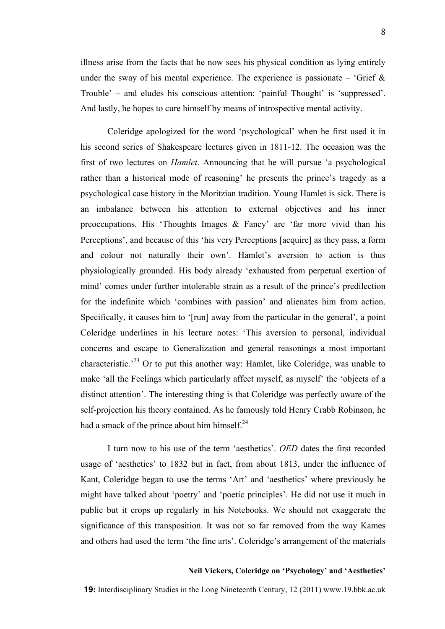illness arise from the facts that he now sees his physical condition as lying entirely under the sway of his mental experience. The experience is passionate – 'Grief  $\&$ Trouble' – and eludes his conscious attention: 'painful Thought' is 'suppressed'. And lastly, he hopes to cure himself by means of introspective mental activity.

Coleridge apologized for the word 'psychological' when he first used it in his second series of Shakespeare lectures given in 1811-12. The occasion was the first of two lectures on *Hamlet*. Announcing that he will pursue 'a psychological rather than a historical mode of reasoning' he presents the prince's tragedy as a psychological case history in the Moritzian tradition. Young Hamlet is sick. There is an imbalance between his attention to external objectives and his inner preoccupations. His 'Thoughts Images & Fancy' are 'far more vivid than his Perceptions', and because of this 'his very Perceptions [acquire] as they pass, a form and colour not naturally their own'. Hamlet's aversion to action is thus physiologically grounded. His body already 'exhausted from perpetual exertion of mind' comes under further intolerable strain as a result of the prince's predilection for the indefinite which 'combines with passion' and alienates him from action. Specifically, it causes him to '[run] away from the particular in the general', a point Coleridge underlines in his lecture notes: 'This aversion to personal, individual concerns and escape to Generalization and general reasonings a most important characteristic.<sup>23</sup> Or to put this another way: Hamlet, like Coleridge, was unable to make 'all the Feelings which particularly affect myself, as myself' the 'objects of a distinct attention'. The interesting thing is that Coleridge was perfectly aware of the self-projection his theory contained. As he famously told Henry Crabb Robinson, he had a smack of the prince about him himself. $^{24}$ 

I turn now to his use of the term 'aesthetics'. *OED* dates the first recorded usage of 'aesthetics' to 1832 but in fact, from about 1813, under the influence of Kant, Coleridge began to use the terms 'Art' and 'aesthetics' where previously he might have talked about 'poetry' and 'poetic principles'. He did not use it much in public but it crops up regularly in his Notebooks. We should not exaggerate the significance of this transposition. It was not so far removed from the way Kames and others had used the term 'the fine arts'. Coleridge's arrangement of the materials

## **Neil Vickers, Coleridge on 'Psychology' and 'Aesthetics'**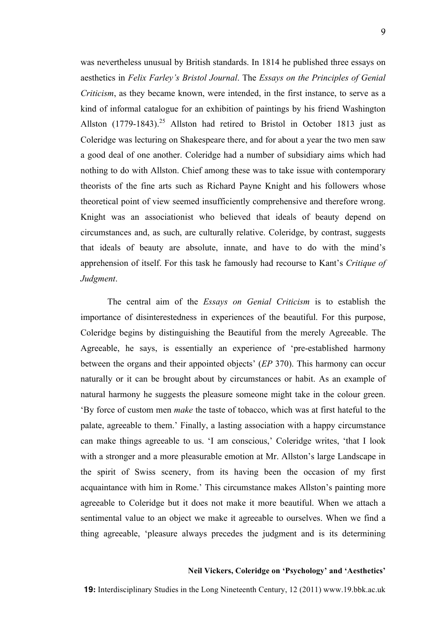was nevertheless unusual by British standards. In 1814 he published three essays on aesthetics in *Felix Farley's Bristol Journal*. The *Essays on the Principles of Genial Criticism*, as they became known, were intended, in the first instance, to serve as a kind of informal catalogue for an exhibition of paintings by his friend Washington Allston  $(1779-1843).^{25}$  Allston had retired to Bristol in October 1813 just as Coleridge was lecturing on Shakespeare there, and for about a year the two men saw a good deal of one another. Coleridge had a number of subsidiary aims which had nothing to do with Allston. Chief among these was to take issue with contemporary theorists of the fine arts such as Richard Payne Knight and his followers whose theoretical point of view seemed insufficiently comprehensive and therefore wrong. Knight was an associationist who believed that ideals of beauty depend on circumstances and, as such, are culturally relative. Coleridge, by contrast, suggests that ideals of beauty are absolute, innate, and have to do with the mind's apprehension of itself. For this task he famously had recourse to Kant's *Critique of Judgment*.

The central aim of the *Essays on Genial Criticism* is to establish the importance of disinterestedness in experiences of the beautiful. For this purpose, Coleridge begins by distinguishing the Beautiful from the merely Agreeable. The Agreeable, he says, is essentially an experience of 'pre-established harmony between the organs and their appointed objects' (*EP* 370). This harmony can occur naturally or it can be brought about by circumstances or habit. As an example of natural harmony he suggests the pleasure someone might take in the colour green. 'By force of custom men *make* the taste of tobacco, which was at first hateful to the palate, agreeable to them.' Finally, a lasting association with a happy circumstance can make things agreeable to us. 'I am conscious,' Coleridge writes, 'that I look with a stronger and a more pleasurable emotion at Mr. Allston's large Landscape in the spirit of Swiss scenery, from its having been the occasion of my first acquaintance with him in Rome.' This circumstance makes Allston's painting more agreeable to Coleridge but it does not make it more beautiful. When we attach a sentimental value to an object we make it agreeable to ourselves. When we find a thing agreeable, 'pleasure always precedes the judgment and is its determining

#### **Neil Vickers, Coleridge on 'Psychology' and 'Aesthetics'**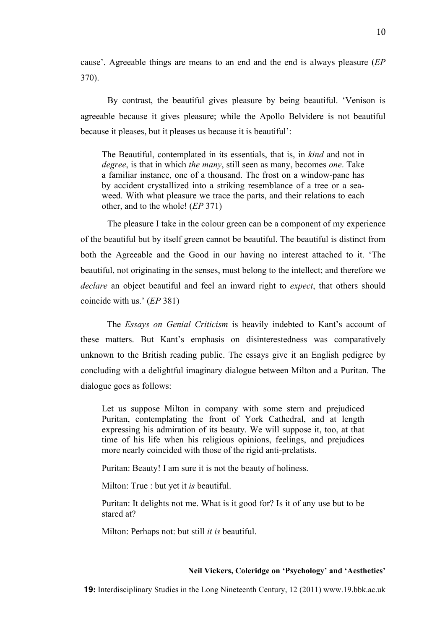cause'. Agreeable things are means to an end and the end is always pleasure (*EP* 370).

By contrast, the beautiful gives pleasure by being beautiful. 'Venison is agreeable because it gives pleasure; while the Apollo Belvidere is not beautiful because it pleases, but it pleases us because it is beautiful':

The Beautiful, contemplated in its essentials, that is, in *kind* and not in *degree*, is that in which *the many*, still seen as many, becomes *one*. Take a familiar instance, one of a thousand. The frost on a window-pane has by accident crystallized into a striking resemblance of a tree or a seaweed. With what pleasure we trace the parts, and their relations to each other, and to the whole! (*EP* 371)

The pleasure I take in the colour green can be a component of my experience of the beautiful but by itself green cannot be beautiful. The beautiful is distinct from both the Agreeable and the Good in our having no interest attached to it. 'The beautiful, not originating in the senses, must belong to the intellect; and therefore we *declare* an object beautiful and feel an inward right to *expect*, that others should coincide with us.' (*EP* 381)

The *Essays on Genial Criticism* is heavily indebted to Kant's account of these matters. But Kant's emphasis on disinterestedness was comparatively unknown to the British reading public. The essays give it an English pedigree by concluding with a delightful imaginary dialogue between Milton and a Puritan. The dialogue goes as follows:

Let us suppose Milton in company with some stern and prejudiced Puritan, contemplating the front of York Cathedral, and at length expressing his admiration of its beauty. We will suppose it, too, at that time of his life when his religious opinions, feelings, and prejudices more nearly coincided with those of the rigid anti-prelatists.

Puritan: Beauty! I am sure it is not the beauty of holiness.

Milton: True : but yet it *is* beautiful.

Puritan: It delights not me. What is it good for? Is it of any use but to be stared at?

Milton: Perhaps not: but still *it is* beautiful.

## **Neil Vickers, Coleridge on 'Psychology' and 'Aesthetics'**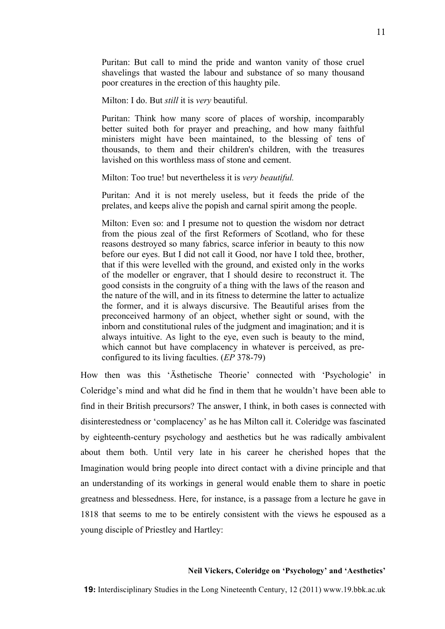Puritan: But call to mind the pride and wanton vanity of those cruel shavelings that wasted the labour and substance of so many thousand poor creatures in the erection of this haughty pile.

Milton: I do. But *still* it is *very* beautiful.

Puritan: Think how many score of places of worship, incomparably better suited both for prayer and preaching, and how many faithful ministers might have been maintained, to the blessing of tens of thousands, to them and their children's children, with the treasures lavished on this worthless mass of stone and cement.

Milton: Too true! but nevertheless it is *very beautiful.* 

Puritan: And it is not merely useless, but it feeds the pride of the prelates, and keeps alive the popish and carnal spirit among the people.

Milton: Even so: and I presume not to question the wisdom nor detract from the pious zeal of the first Reformers of Scotland, who for these reasons destroyed so many fabrics, scarce inferior in beauty to this now before our eyes. But I did not call it Good, nor have I told thee, brother, that if this were levelled with the ground, and existed only in the works of the modeller or engraver, that I should desire to reconstruct it. The good consists in the congruity of a thing with the laws of the reason and the nature of the will, and in its fitness to determine the latter to actualize the former, and it is always discursive. The Beautiful arises from the preconceived harmony of an object, whether sight or sound, with the inborn and constitutional rules of the judgment and imagination; and it is always intuitive. As light to the eye, even such is beauty to the mind, which cannot but have complacency in whatever is perceived, as preconfigured to its living faculties. (*EP* 378-79)

How then was this 'Ästhetische Theorie' connected with 'Psychologie' in Coleridge's mind and what did he find in them that he wouldn't have been able to find in their British precursors? The answer, I think, in both cases is connected with disinterestedness or 'complacency' as he has Milton call it. Coleridge was fascinated by eighteenth-century psychology and aesthetics but he was radically ambivalent about them both. Until very late in his career he cherished hopes that the Imagination would bring people into direct contact with a divine principle and that an understanding of its workings in general would enable them to share in poetic greatness and blessedness. Here, for instance, is a passage from a lecture he gave in 1818 that seems to me to be entirely consistent with the views he espoused as a young disciple of Priestley and Hartley:

## **Neil Vickers, Coleridge on 'Psychology' and 'Aesthetics'**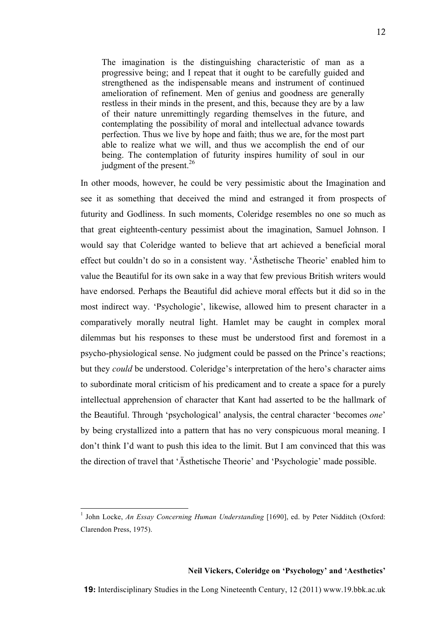The imagination is the distinguishing characteristic of man as a progressive being; and I repeat that it ought to be carefully guided and strengthened as the indispensable means and instrument of continued amelioration of refinement. Men of genius and goodness are generally restless in their minds in the present, and this, because they are by a law of their nature unremittingly regarding themselves in the future, and contemplating the possibility of moral and intellectual advance towards perfection. Thus we live by hope and faith; thus we are, for the most part able to realize what we will, and thus we accomplish the end of our being. The contemplation of futurity inspires humility of soul in our iudgment of the present. $^{26}$ 

In other moods, however, he could be very pessimistic about the Imagination and see it as something that deceived the mind and estranged it from prospects of futurity and Godliness. In such moments, Coleridge resembles no one so much as that great eighteenth-century pessimist about the imagination, Samuel Johnson. I would say that Coleridge wanted to believe that art achieved a beneficial moral effect but couldn't do so in a consistent way. 'Ästhetische Theorie' enabled him to value the Beautiful for its own sake in a way that few previous British writers would have endorsed. Perhaps the Beautiful did achieve moral effects but it did so in the most indirect way. 'Psychologie', likewise, allowed him to present character in a comparatively morally neutral light. Hamlet may be caught in complex moral dilemmas but his responses to these must be understood first and foremost in a psycho-physiological sense. No judgment could be passed on the Prince's reactions; but they *could* be understood. Coleridge's interpretation of the hero's character aims to subordinate moral criticism of his predicament and to create a space for a purely intellectual apprehension of character that Kant had asserted to be the hallmark of the Beautiful. Through 'psychological' analysis, the central character 'becomes *one*' by being crystallized into a pattern that has no very conspicuous moral meaning. I don't think I'd want to push this idea to the limit. But I am convinced that this was the direction of travel that 'Ästhetische Theorie' and 'Psychologie' made possible.

 $\frac{1}{1}$ <sup>1</sup> John Locke, *An Essay Concerning Human Understanding* [1690], ed. by Peter Nidditch (Oxford: Clarendon Press, 1975).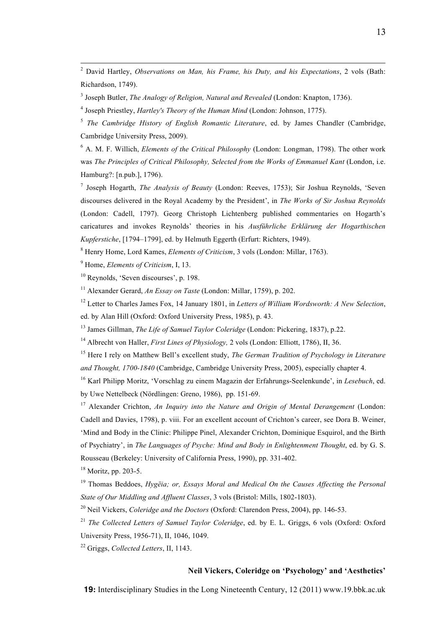$\frac{1}{2}$  David Hartley, *Observations on Man, his Frame, his Duty, and his Expectations*, 2 vols (Bath: Richardson, 1749).

3 Joseph Butler, *The Analogy of Religion, Natural and Revealed* (London: Knapton, 1736).

4 Joseph Priestley, *Hartley's Theory of the Human Mind* (London: Johnson, 1775).

<sup>5</sup> *The Cambridge History of English Romantic Literature*, ed. by James Chandler (Cambridge, Cambridge University Press, 2009).

6 A. M. F. Willich, *Elements of the Critical Philosophy* (London: Longman, 1798). The other work was *The Principles of Critical Philosophy, Selected from the Works of Emmanuel Kant* (London, i.e. Hamburg?: [n.pub.], 1796).

7 Joseph Hogarth, *The Analysis of Beauty* (London: Reeves, 1753); Sir Joshua Reynolds, 'Seven discourses delivered in the Royal Academy by the President', in *The Works of Sir Joshua Reynolds* (London: Cadell, 1797). Georg Christoph Lichtenberg published commentaries on Hogarth's caricatures and invokes Reynolds' theories in his *Ausführliche Erklärung der Hogarthischen Kupferstiche*, [1794–1799], ed. by Helmuth Eggerth (Erfurt: Richters, 1949).

8 Henry Home, Lord Kames, *Elements of Criticism*, 3 vols (London: Millar, 1763).

<sup>9</sup> Home, *Elements of Criticism*, I, 13.

<sup>10</sup> Reynolds, 'Seven discourses', p. 198.

11 Alexander Gerard, *An Essay on Taste* (London: Millar, 1759), p. 202.

12 Letter to Charles James Fox, 14 January 1801, in *Letters of William Wordsworth: A New Selection*, ed. by Alan Hill (Oxford: Oxford University Press, 1985), p. 43.

<sup>13</sup> James Gillman, *The Life of Samuel Taylor Coleridge* (London: Pickering, 1837), p.22.

<sup>14</sup> Albrecht von Haller, *First Lines of Physiology,* 2 vols (London: Elliott, 1786), II, 36.

15 Here I rely on Matthew Bell's excellent study, *The German Tradition of Psychology in Literature and Thought, 1700-1840* (Cambridge, Cambridge University Press, 2005), especially chapter 4.

16 Karl Philipp Moritz, 'Vorschlag zu einem Magazin der Erfahrungs-Seelenkunde', in *Lesebuch*, ed. by Uwe Nettelbeck (Nördlingen: Greno, 1986), pp. 151-69.

<sup>17</sup> Alexander Crichton, *An Inquiry into the Nature and Origin of Mental Derangement* (London: Cadell and Davies, 1798), p. viii. For an excellent account of Crichton's career, see Dora B. Weiner, 'Mind and Body in the Clinic: Philippe Pinel, Alexander Crichton, Dominique Esquirol, and the Birth of Psychiatry', in *The Languages of Psyche: Mind and Body in Enlightenment Thought*, ed. by G. S. Rousseau (Berkeley: University of California Press, 1990), pp. 331-402.

<sup>18</sup> Moritz, pp. 203-5.

19 Thomas Beddoes, *Hygëia; or, Essays Moral and Medical On the Causes Affecting the Personal State of Our Middling and Affluent Classes*, 3 vols (Bristol: Mills, 1802-1803).

20 Neil Vickers, *Coleridge and the Doctors* (Oxford: Clarendon Press, 2004), pp. 146-53.

<sup>21</sup> *The Collected Letters of Samuel Taylor Coleridge*, ed. by E. L. Griggs, 6 vols (Oxford: Oxford University Press, 1956-71), II, 1046, 1049.

<sup>22</sup> Griggs, *Collected Letters*, II, 1143.

# **Neil Vickers, Coleridge on 'Psychology' and 'Aesthetics'**